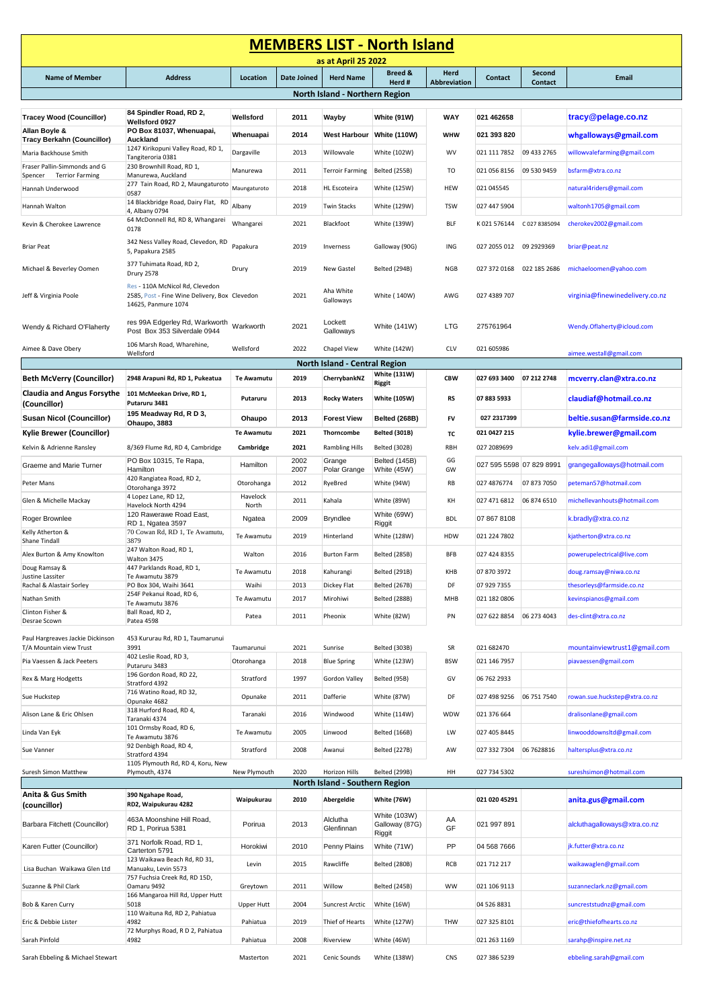| <b>MEMBERS LIST - North Island</b>                                |                                                                                                         |                   |                    |                               |                                          |                     |                           |                |                                 |
|-------------------------------------------------------------------|---------------------------------------------------------------------------------------------------------|-------------------|--------------------|-------------------------------|------------------------------------------|---------------------|---------------------------|----------------|---------------------------------|
|                                                                   |                                                                                                         |                   |                    | as at April 25 2022           | <b>Breed &amp;</b>                       | Herd                |                           | Second         |                                 |
| <b>Name of Member</b>                                             | <b>Address</b>                                                                                          | Location          | <b>Date Joined</b> | <b>Herd Name</b>              | Herd #                                   | <b>Abbreviation</b> | <b>Contact</b>            | <b>Contact</b> | Email                           |
| North Island - Northern Region                                    |                                                                                                         |                   |                    |                               |                                          |                     |                           |                |                                 |
| <b>Tracey Wood (Councillor)</b>                                   | 84 Spindler Road, RD 2,                                                                                 | Wellsford         | 2011               | Wayby                         | White (91W)                              | WAY                 | 021 462658                |                | tracy@pelage.co.nz              |
| Allan Boyle &                                                     | Wellsford 0927<br>PO Box 81037, Whenuapai,                                                              |                   |                    |                               |                                          |                     |                           |                |                                 |
| <b>Tracy Berkahn (Councillor)</b>                                 | Auckland                                                                                                | Whenuapai         | 2014               | West Harbour White (110W)     |                                          | <b>WHW</b>          | 021 393 820               |                | whgalloways@gmail.com           |
| Maria Backhouse Smith                                             | 1247 Kirikopuni Valley Road, RD 1,<br>Tangiteroria 0381                                                 | Dargaville        | 2013               | Willowvale                    | White (102W)                             | <b>WV</b>           | 021 111 7852              | 09 433 2765    | willowvalefarming@gmail.com     |
| Fraser Pallin-Simmonds and G<br>Spencer<br><b>Terrior Farming</b> | 230 Brownhill Road, RD 1,<br>Manurewa, Auckland                                                         | Manurewa          | 2011               | <b>Terroir Farming</b>        | Belted (255B)                            | TO                  | 021 056 8156              | 09 530 9459    | bsfarm@xtra.co.nz               |
| Hannah Underwood                                                  | 277 Tain Road, RD 2, Maungaturoto                                                                       | Maungaturoto      | 2018               | <b>HL</b> Escoteira           | White (125W)                             | HEW                 | 021 045545                |                | natural4riders@gmail.com        |
| Hannah Walton                                                     | 0587<br>14 Blackbridge Road, Dairy Flat, RD                                                             | Albany            | 2019               | <b>Twin Stacks</b>            | White (129W)                             | <b>TSW</b>          | 027 447 5904              |                | waltonh1705@gmail.com           |
|                                                                   | 4, Albany 0794<br>64 McDonnell Rd, RD 8, Whangarei                                                      |                   |                    |                               |                                          |                     |                           |                |                                 |
| Kevin & Cherokee Lawrence                                         | 0178                                                                                                    | Whangarei         | 2021               | Blackfoot                     | White (139W)                             | BLF                 | K021576144                | C 027 8385094  | cherokev2002@gmail.com          |
| <b>Briar Peat</b>                                                 | 342 Ness Valley Road, Clevedon, RD<br>5, Papakura 2585                                                  | Papakura          | 2019               | Inverness                     | Galloway (90G)                           | ING                 | 027 2055 012 09 2929369   |                | briar@peat.nz                   |
| Michael & Beverley Oomen                                          | 377 Tuhimata Road, RD 2,                                                                                | Drury             | 2019               | <b>New Gastel</b>             | Belted (294B)                            | <b>NGB</b>          | 027 372 0168 022 185 2686 |                | michaeloomen@yahoo.com          |
|                                                                   | Drury 2578                                                                                              |                   |                    |                               |                                          |                     |                           |                |                                 |
| Jeff & Virginia Poole                                             | Res - 110A McNicol Rd, Clevedon<br>2585, Post - Fine Wine Delivery, Box Clevedon<br>14625, Panmure 1074 |                   | 2021               | Aha White<br>Galloways        | White (140W)                             | AWG                 | 027 4389 707              |                | virginia@finewinedelivery.co.nz |
| Wendy & Richard O'Flaherty                                        | res 99A Edgerley Rd, Warkworth Warkworth<br>Post Box 353 Silverdale 0944                                |                   | 2021               | Lockett<br>Galloways          | White (141W)                             | <b>LTG</b>          | 275761964                 |                | Wendy.Oflaherty@icloud.com      |
| Aimee & Dave Obery                                                | 106 Marsh Road, Wharehine,<br>Wellsford                                                                 | Wellsford         | 2022               | Chapel View                   | White (142W)                             | CLV                 | 021 605986                |                | aimee.westall@gmail.com         |
|                                                                   |                                                                                                         |                   |                    | North Island - Central Region |                                          |                     |                           |                |                                 |
| <b>Beth McVerry (Councillor)</b>                                  | 2948 Arapuni Rd, RD 1, Pukeatua                                                                         | <b>Te Awamutu</b> | 2019               | CherrybankNZ                  | <b>White (131W)</b><br><b>Riggit</b>     | <b>CBW</b>          | 027 693 3400              | 07 212 2748    | mcverry.clan@xtra.co.nz         |
| <b>Claudia and Angus Forsythe</b><br>(Councillor)                 | 101 McMeekan Drive, RD 1,<br>Putaruru 3481                                                              | Putaruru          | 2013               | <b>Rocky Waters</b>           | <b>White (105W)</b>                      | <b>RS</b>           | 07 883 5933               |                | claudiaf@hotmail.co.nz          |
| <b>Susan Nicol (Councillor)</b>                                   | 195 Meadway Rd, RD 3,<br>Ohaupo, 3883                                                                   | Ohaupo            | 2013               | <b>Forest View</b>            | Belted (268B)                            | FV                  | 027 2317399               |                | beltie.susan@farmside.co.nz     |
| <b>Kylie Brewer (Councillor)</b>                                  |                                                                                                         | <b>Te Awamutu</b> | 2021               | Thorncombe                    | <b>Belted (301B)</b>                     | тс                  | 021 0427 215              |                | kylie.brewer@gmail.com          |
| Kelvin & Adrienne Ransley                                         | 8/369 Flume Rd, RD 4, Cambridge                                                                         | Cambridge         | 2021               | <b>Rambling Hills</b>         | Belted (302B)                            | RBH                 | 027 2089699               |                | kelv.adi1@gmail.com             |
| Graeme and Marie Turner                                           | PO Box 10315, Te Rapa,<br>Hamilton                                                                      | Hamilton          | 2002<br>2007       | Grange<br>Polar Grange        | Belted (145B)<br>White (45W)             | GG<br>GW            | 027 595 5598 07 829 8991  |                | grangegalloways@hotmail.com     |
| Peter Mans                                                        | 420 Rangiatea Road, RD 2,<br>Otorohanga 3972                                                            | Otorohanga        | 2012               | RyeBred                       | White (94W)                              | RB                  | 027 4876774               | 07 873 7050    | peteman57@hotmail.com           |
| Glen & Michelle Mackay                                            | 4 Lopez Lane, RD 12,<br>Havelock North 4294                                                             | Havelock<br>North | 2011               | Kahala                        | White (89W)                              | KΗ                  | 027 471 6812              | 06 874 6510    | michellevanhouts@hotmail.com    |
| Roger Brownlee                                                    | 120 Rawerawe Road East,                                                                                 | Ngatea            | 2009               | Bryndlee                      | White (69W)                              | <b>BDL</b>          | 07 867 8108               |                | k.bradly@xtra.co.nz             |
| Kelly Atherton &                                                  | RD 1, Ngatea 3597<br>70 Cowan Rd, RD 1, Te Awamutu,                                                     | Te Awamutu        | 2019               | Hinterland                    | Riggit<br>White (128W)                   | HDW                 | 021 224 7802              |                | kjatherton@xtra.co.nz           |
| Shane Tindall                                                     | 3879<br>247 Walton Road, RD 1,                                                                          |                   |                    |                               |                                          |                     |                           |                |                                 |
| Alex Burton & Amy Knowlton<br>Doug Ramsay &                       | Walton 3475<br>447 Parklands Road, RD 1,                                                                | Walton            | 2016               | <b>Burton Farm</b>            | Belted (285B)                            | <b>BFB</b>          | 027 424 8355              |                | powerupelectrical@live.com      |
| Justine Lassiter                                                  | Te Awamutu 3879                                                                                         | Te Awamutu        | 2018               | Kahurangi                     | Belted (291B)                            | KHB                 | 07 870 3972               |                | doug.ramsay@niwa.co.nz          |
| Rachal & Alastair Sorley                                          | PO Box 304, Waihi 3641<br>254F Pekanui Road, RD 6,                                                      | Waihi             | 2013               | Dickey Flat                   | Belted (267B)                            | DF                  | 07 929 7355               |                | thesorleys@farmside.co.nz       |
| Nathan Smith<br>Clinton Fisher &                                  | Te Awamutu 3876<br>Ball Road, RD 2,                                                                     | Te Awamutu        | 2017               | Mirohiwi                      | Belted (288B)                            | MHB                 | 021 182 0806              |                | kevinspianos@gmail.com          |
| Desrae Scown                                                      | Patea 4598                                                                                              | Patea             | 2011               | Pheonix                       | White (82W)                              | PN                  | 027 622 8854              | 06 273 4043    | des-clint@xtra.co.nz            |
| Paul Hargreaves Jackie Dickinson<br>T/A Mountain view Trust       | 453 Kururau Rd, RD 1, Taumarunui<br>3991                                                                | Taumarunui        | 2021               | Sunrise                       | Belted (303B)                            | SR                  | 021 682470                |                | mountainviewtrust1@gmail.com    |
| Pia Vaessen & Jack Peeters                                        | 402 Leslie Road, RD 3,<br>Putaruru 3483                                                                 | Otorohanga        | 2018               | <b>Blue Spring</b>            | White (123W)                             | <b>BSW</b>          | 021 146 7957              |                | piavaessen@gmail.com            |
| Rex & Marg Hodgetts                                               | 196 Gordon Road, RD 22,<br>Stratford 4392                                                               | Stratford         | 1997               | Gordon Valley                 | Belted (95B)                             | GV                  | 06 762 2933               |                |                                 |
| Sue Huckstep                                                      | 716 Watino Road, RD 32,                                                                                 | Opunake           | 2011               | Dafferie                      | White (87W)                              | DF                  | 027 498 9256              | 06 751 7540    | rowan.sue.huckstep@xtra.co.nz   |
| Alison Lane & Eric Ohlsen                                         | Opunake 4682<br>318 Hurford Road, RD 4,                                                                 | Taranaki          | 2016               | Windwood                      | White (114W)                             | WDW                 | 021 376 664               |                | dralisonlane@gmail.com          |
|                                                                   | Taranaki 4374<br>101 Ormsby Road, RD 6,                                                                 |                   |                    |                               |                                          |                     |                           |                |                                 |
| Linda Van Eyk                                                     | Te Awamutu 3876<br>92 Denbigh Road, RD 4,                                                               | Te Awamutu        | 2005               | Linwood                       | Belted (166B)                            | LW                  | 027 405 8445              |                | linwooddownsltd@gmail.com       |
| Sue Vanner                                                        | Stratford 4394                                                                                          | Stratford         | 2008               | Awanui                        | Belted (227B)                            | AW                  | 027 332 7304              | 06 7628816     | haltersplus@xtra.co.nz          |
| Suresh Simon Matthew                                              | 1105 Plymouth Rd, RD 4, Koru, New<br>Plymouth, 4374                                                     | New Plymouth      | 2020               | Horizon Hills                 | Belted (299B)                            | HH                  | 027 734 5302              |                | sureshsimon@hotmail.com         |
| North Island - Southern Region                                    |                                                                                                         |                   |                    |                               |                                          |                     |                           |                |                                 |
| Anita & Gus Smith<br>(councillor)                                 | 390 Ngahape Road,<br>RD2, Waipukurau 4282                                                               | Waipukurau        | 2010               | Abergeldie                    | White (76W)                              |                     | 021 020 45291             |                | anita.gus@gmail.com             |
| Barbara Fitchett (Councillor)                                     | 463A Moonshine Hill Road,<br>RD 1, Porirua 5381                                                         | Porirua           | 2013               | Alclutha<br>Glenfinnan        | White (103W)<br>Galloway (87G)<br>Riggit | AA<br>GF            | 021 997 891               |                | alcluthagalloways@xtra.co.nz    |
| Karen Futter (Councillor)                                         | 371 Norfolk Road, RD 1,<br>Carterton 5791                                                               | Horokiwi          | 2010               | Penny Plains                  | White (71W)                              | PP                  | 04 568 7666               |                | jk.futter@xtra.co.nz            |
|                                                                   | 123 Waikawa Beach Rd, RD 31,                                                                            | Levin             | 2015               | Rawcliffe                     | Belted (280B)                            | RCB                 | 021 712 217               |                | waikawaglen@gmail.com           |
| Lisa Buchan Waikawa Glen Ltd                                      | Manuaku, Levin 5573<br>757 Fuchsia Creek Rd, RD 15D,                                                    |                   |                    |                               |                                          |                     |                           |                |                                 |
| Suzanne & Phil Clark                                              | Oamaru 9492<br>166 Mangaroa Hill Rd, Upper Hutt                                                         | Greytown          | 2011               | Willow                        | Belted (245B)                            | <b>WW</b>           | 021 106 9113              |                | suzanneclark.nz@gmail.com       |
| Bob & Karen Curry                                                 | 5018<br>110 Waituna Rd, RD 2, Pahiatua                                                                  | Upper Hutt        | 2004               | <b>Suncrest Arctic</b>        | White (16W)                              |                     | 04 526 8831               |                | suncreststudnz@gmail.com        |
| Eric & Debbie Lister                                              | 4982<br>72 Murphys Road, R D 2, Pahiatua                                                                | Pahiatua          | 2019               | Thief of Hearts               | White (127W)                             | THW                 | 027 325 8101              |                | eric@thiefofhearts.co.nz        |
| Sarah Pinfold                                                     | 4982                                                                                                    | Pahiatua          | 2008               | Riverview                     | White (46W)                              |                     | 021 263 1169              |                | sarahp@inspire.net.nz           |
| Sarah Ebbeling & Michael Stewart                                  |                                                                                                         | Masterton         | 2021               | Cenic Sounds                  | White (138W)                             | CNS                 | 027 386 5239              |                | ebbeling.sarah@gmail.com        |